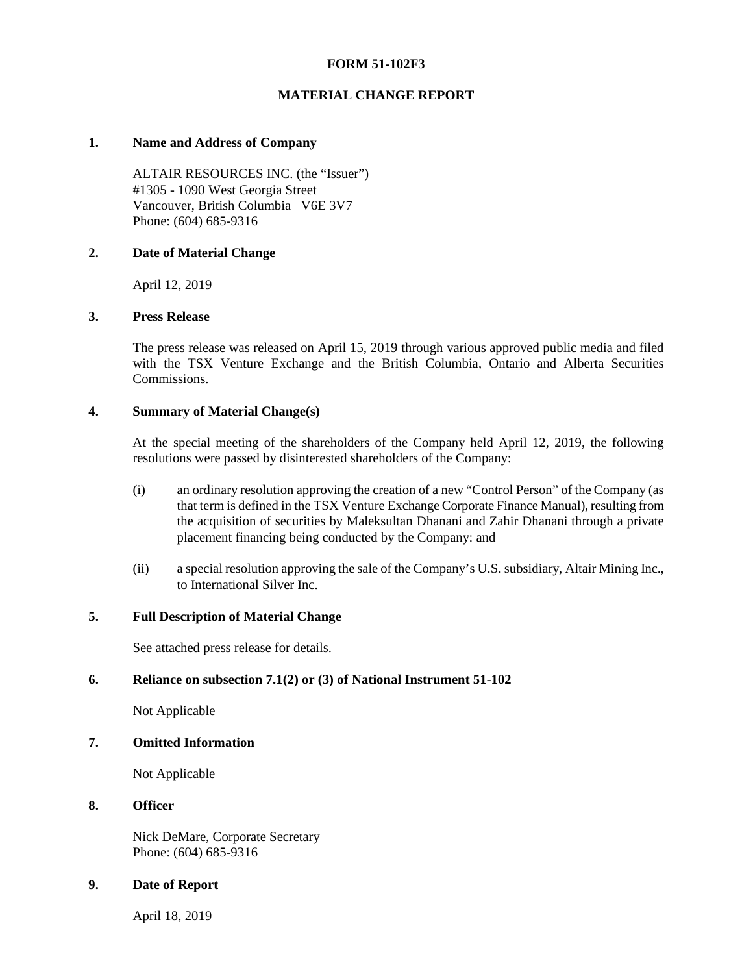# **FORM 51-102F3**

# **MATERIAL CHANGE REPORT**

#### **1. Name and Address of Company**

ALTAIR RESOURCES INC. (the "Issuer") #1305 - 1090 West Georgia Street Vancouver, British Columbia V6E 3V7 Phone: (604) 685-9316

### **2. Date of Material Change**

April 12, 2019

### **3. Press Release**

The press release was released on April 15, 2019 through various approved public media and filed with the TSX Venture Exchange and the British Columbia, Ontario and Alberta Securities Commissions.

### **4. Summary of Material Change(s)**

At the special meeting of the shareholders of the Company held April 12, 2019, the following resolutions were passed by disinterested shareholders of the Company:

- (i) an ordinary resolution approving the creation of a new "Control Person" of the Company (as that term is defined in the TSX Venture Exchange Corporate Finance Manual), resulting from the acquisition of securities by Maleksultan Dhanani and Zahir Dhanani through a private placement financing being conducted by the Company: and
- (ii) a special resolution approving the sale of the Company's U.S. subsidiary, Altair Mining Inc., to International Silver Inc.

# **5. Full Description of Material Change**

See attached press release for details.

# **6. Reliance on subsection 7.1(2) or (3) of National Instrument 51-102**

Not Applicable

#### **7. Omitted Information**

Not Applicable

#### **8. Officer**

Nick DeMare, Corporate Secretary Phone: (604) 685-9316

#### **9. Date of Report**

April 18, 2019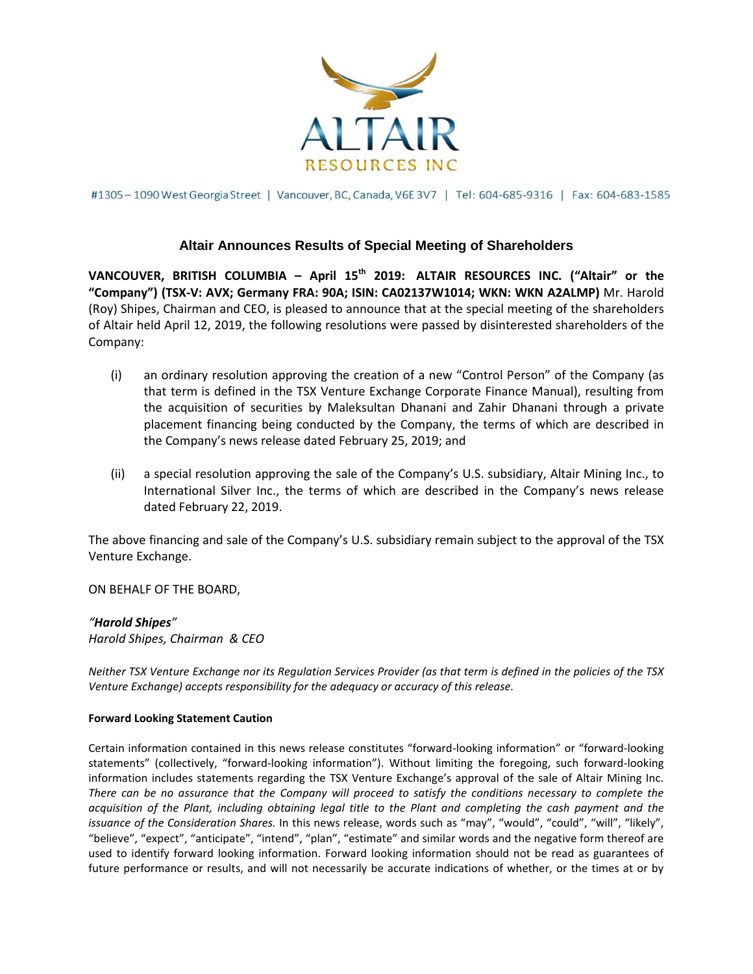

#1305-1090 West Georgia Street | Vancouver, BC, Canada, V6E 3V7 | Tel: 604-685-9316 | Fax: 604-683-1585

# **Altair Announces Results of Special Meeting of Shareholders**

**VANCOUVER, BRITISH COLUMBIA – April 15th 2019: ALTAIR RESOURCES INC. ("Altair" or the "Company") (TSX-V: AVX; Germany FRA: 90A; ISIN: CA02137W1014; WKN: WKN A2ALMP)** Mr. Harold (Roy) Shipes, Chairman and CEO, is pleased to announce that at the special meeting of the shareholders of Altair held April 12, 2019, the following resolutions were passed by disinterested shareholders of the Company:

- (i) an ordinary resolution approving the creation of a new "Control Person" of the Company (as that term is defined in the TSX Venture Exchange Corporate Finance Manual), resulting from the acquisition of securities by Maleksultan Dhanani and Zahir Dhanani through a private placement financing being conducted by the Company, the terms of which are described in the Company's news release dated February 25, 2019; and
- (ii) a special resolution approving the sale of the Company's U.S. subsidiary, Altair Mining Inc., to International Silver Inc., the terms of which are described in the Company's news release dated February 22, 2019.

The above financing and sale of the Company's U.S. subsidiary remain subject to the approval of the TSX Venture Exchange.

ON BEHALF OF THE BOARD,

# *"Harold Shipes"*

*Harold Shipes, Chairman & CEO*

*Neither TSX Venture Exchange nor its Regulation Services Provider (as that term is defined in the policies of the TSX Venture Exchange) accepts responsibility for the adequacy or accuracy of this release.*

#### **Forward Looking Statement Caution**

Certain information contained in this news release constitutes "forward-looking information" or "forward-looking statements" (collectively, "forward-looking information"). Without limiting the foregoing, such forward-looking information includes statements regarding the TSX Venture Exchange's approval of the sale of Altair Mining Inc. *There can be no assurance that the Company will proceed to satisfy the conditions necessary to complete the acquisition of the Plant, including obtaining legal title to the Plant and completing the cash payment and the issuance of the Consideration Shares.* In this news release, words such as "may", "would", "could", "will", "likely", "believe", "expect", "anticipate", "intend", "plan", "estimate" and similar words and the negative form thereof are used to identify forward looking information. Forward looking information should not be read as guarantees of future performance or results, and will not necessarily be accurate indications of whether, or the times at or by